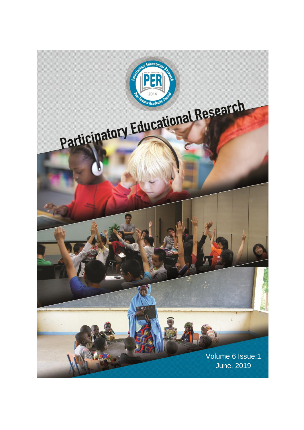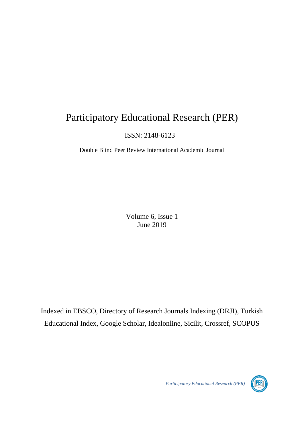# Participatory Educational Research (PER)

ISSN: 2148-6123

Double Blind Peer Review International Academic Journal

Volume 6, Issue 1 June 2019

Indexed in EBSCO, Directory of Research Journals Indexing (DRJI), Turkish Educational Index, Google Scholar, Idealonline, Sicilit, Crossref, SCOPUS

*Participatory Educational Research (PER)*

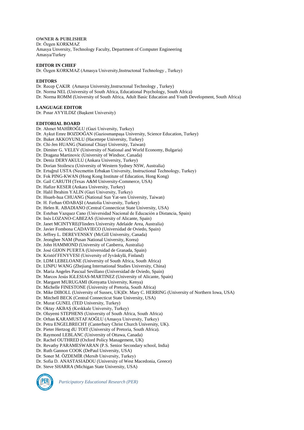**OWNER & PUBLISHER** Dr. Özgen KORKMAZ Amasya Unversity, Technology Faculty, Department of Computer Engineering Amasya/Turkey

## **EDITOR IN CHIEF**

Dr. Özgen KORKMAZ (Amasya University,Instructonal Technology , Turkey)

#### **EDITORS**

Dr. Recep ÇAKIR (Amasya University,Instructonal Technology , Turkey)

- Dr. Norma NEL (University of South Africa, Educational Psychology, South Africa)
- Dr. Norma ROMM (University of South Africa, Adult Basic Education and Youth Development, South Africa)

#### **LANGUAGE EDITOR**

Dr. Pınar AYYILDIZ (Başkent University)

#### **EDITORIAL BOARD**

Dr. Ahmet MAHİROĞLU (Gazi University, Turkey)

- Dr. Aykut Emre BOZDOĞAN (Gaziosmanpaşa University, Science Education, Turkey)
- Dr. Buket AKKOYUNLU (Hacettepe University, Turkey)
- Dr. Chi-Jen HUANG (National Chiayi University, Taiwan)
- Dr. Dimiter G. VELEV (University of National and World Economy, Bulgaria)
- Dr. Dragana Martinovic (University of Windsor, Canada)
- Dr. Deniz DERYAKULU (Ankara University, Turkey)
- Dr. Dorian Stoilescu (University of Western Sydney NSW, Australia)
- Dr. Ertuğrul USTA (Necmettin Erbakan University, Instructional Technology, Turkey)
- Dr. Fok PING-KWAN (Hong Kong Institute of Education, Hong Kong)
- Dr. Gail CARUTH (Texas A&M University-Commerce, USA)
- Dr. Hafize KESER (Ankara University, Turkey)
- Dr. Halil İbrahim YALIN (Gazi University, Turkey)
- Dr. Hsueh-hua CHUANG (National Sun Yat-sen University, Taiwan)
- Dr. H. Ferhan ODABAŞI (Anatolia University, Turkey)
- Dr. Helen R. ABADIANO (Central Connecticut State University, USA)
- Dr. Esteban Vazquez Cano (Universidad Nacional de Educación a Distancia, Spain)
- Dr. Inés LOZANO-CABEZAS (University of Alicante, Spain)
- Dr. Janet MCINTYRE(Flinders University Adelaide Area, Australia)
- Dr. Javier Fombona CADAVIECO (Universidad de Oviedo, Spain)
- Dr. Jeffrey L. DEREVENSKY (McGill University, Canada)
- Dr. Jeonghee NAM (Pusan National University, Korea)
- Dr. John HAMMOND (University of Canberra, Australia)
- Dr. José GIJON PUERTA (Universidad de Granada, Spain)
- Dr. Kristóf FENYVESI (University of Jyväskylä, Finland)
- Dr. LDM LEBELOANE (University of South Africa, South Africa)
- Dr. LINPU WANG (Zhejiang International Studies University, China)
- Dr. Maria Angeles Pascual Sevillano (Universidad de Oviedo, Spain)
- Dr. Marcos Jesús IGLESIAS-MARTINEZ (University of Alicante, Spain)
- Dr. Margaret MURUGAMI (Kenyatta University, Kenya)
- Dr. Michelle FINESTONE (University of Pretoria, South Africa)
- Dr. Mike DIBOLL (University of Sussex, UK)Dr. Mary C. HERRING (University of Northern Iowa, USA)
- Dr. Mitchell BECK (Central Connecticut State University, USA)
- Dr. Murat GUNEL (TED University, Turkey)
- Dr. Oktay AKBAŞ (Kırıkkale University, Turkey)
- Dr. Oluyemi STEPHENS (University of South Africa, South Africa)
- Dr. Orhan KARAMUSTAFAOĞLU (Amasya University, Turkey)
- Dr. Petra ENGELBRECHT (Canterbury Christ Church University, UK).
- Dr. Pieter Hertzog dU TOIT (University of Pretoria, South Africa).
- Dr. Raymond LEBLANC (University of Ottawa, Canada)
- Dr. Rachel OUTHRED (Oxford Policy Management, UK)
- Dr. Revathy PARAMESWARAN (P.S. Senior Secondary school, India)
- Dr. Ruth Gannon COOK (DePaul University, USA)
- Dr. Soner M. ÖZDEMİR (Mersib University, Turkey)
- 
- Dr. Sofia D. ANASTASIADOU (University of West Macedonia, Greece)
- Dr. Steve SHARRA (Michigan State University, USA)



*Participatory Educational Research (PER)*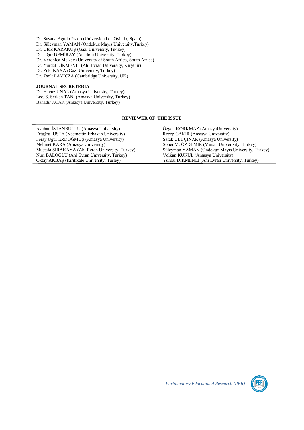Dr. Susana Agudo Prado (Universidad de Oviedo, Spain) Dr. Süleyman YAMAN (Ondokuz Mayıs University,Turkey) Dr. Ufuk KARAKUŞ (Gazi University, Tu4key) Dr. Uğur DEMİRAY (Anadolu University, Turkey) Dr. Veronica McKay (University of South Africa, South Africa) Dr. Yurdal DİKMENLİ (Ahi Evran University, Kırşehir) Dr. Zeki KAYA (Gazi University, Turkey)

Dr. Zsolt LAVICZA (Cambridge University, UK)

# **JOURNAL SECRETERIA**

Dr. Yavuz UNAL (Amasya University, Turkey) Lec. S. Serkan TAN (Amasya University, Turkey) Bahadır ACAR (Amasya University, Turkey)

## **REVIEWER OF THE ISSUE**

| Aslıhan İSTANBULLU (Amasya University)          | Özgen KORKMAZ (AmasyaUniversity)                  |
|-------------------------------------------------|---------------------------------------------------|
| Ertuğrul USTA (Necmettin Erbakan University)    | Recep CAKIR (Amasya University)                   |
| Feray Uğur ERDOĞMUŞ (Amasya University)         | Şafak ULUÇINAR (Amasya University)                |
| Mehmet KARA (Amasya University)                 | Soner M. ÖZDEMIR (Mersin Univerisity, Turkey)     |
| Mustafa SIRAKAYA (Ahi Evran University, Turkey) | Süleyman YAMAN (Ondokuz Mayıs University, Turkey) |
| Nuri BALOĞLU (Ahi Evran University, Turkey)     | Volkan KUKUL (Amasya University)                  |
| Oktay AKBAS (Kirikkale University, Turley)      | Yurdal DİKMENLİ (Ahi Evran University, Turkey)    |